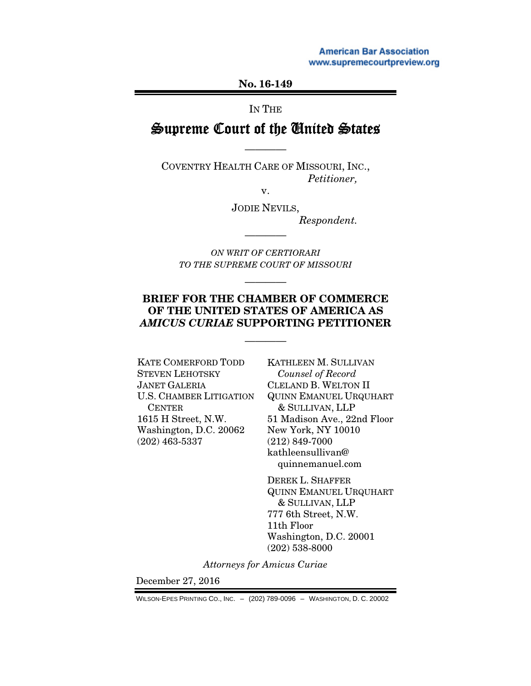**American Bar Association** www.supremecourtpreview.org

No. 16-149

IN THE

# Supreme Court of the United States

————

COVENTRY HEALTH CARE OF MISSOURI, INC., *Petitioner,* 

v.

JODIE NEVILS,

*Respondent.* 

*ON WRIT OF CERTIORARI TO THE SUPREME COURT OF MISSOURI*

————

————

### BRIEF FOR THE CHAMBER OF COMMERCE OF THE UNITED STATES OF AMERICA AS *AMICUS CURIAE* SUPPORTING PETITIONER

————

KATE COMERFORD TODD STEVEN LEHOTSKY JANET GALERIA U.S. CHAMBER LITIGATION CENTER 1615 H Street, N.W. Washington, D.C. 20062 (202) 463-5337

KATHLEEN M. SULLIVAN *Counsel of Record*  CLELAND B. WELTON II QUINN EMANUEL URQUHART & SULLIVAN, LLP 51 Madison Ave., 22nd Floor New York, NY 10010 (212) 849-7000 kathleensullivan@ quinnemanuel.com

DEREK L. SHAFFER QUINN EMANUEL URQUHART & SULLIVAN, LLP 777 6th Street, N.W. 11th Floor Washington, D.C. 20001 (202) 538-8000

*Attorneys for Amicus Curiae* 

December 27, 2016

WILSON-EPES PRINTING CO., INC. – (202) 789-0096 – WASHINGTON, D. C. 20002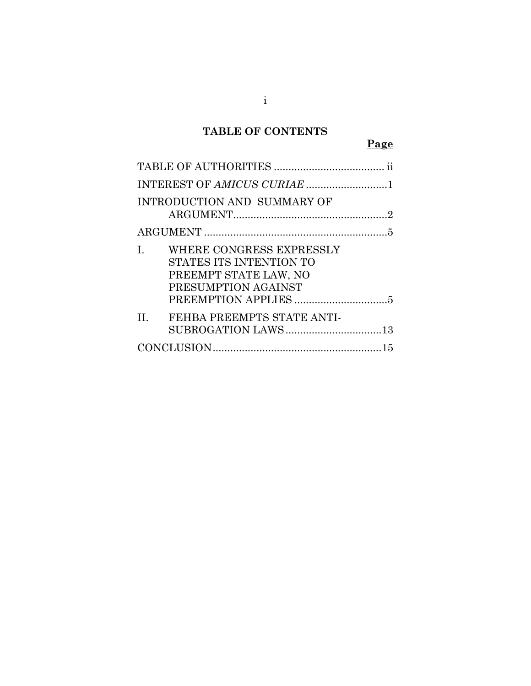## TABLE OF CONTENTS

## Page

| INTRODUCTION AND SUMMARY OF                                                                              |
|----------------------------------------------------------------------------------------------------------|
|                                                                                                          |
| WHERE CONGRESS EXPRESSLY<br>L<br>STATES ITS INTENTION TO<br>PREEMPT STATE LAW, NO<br>PRESUMPTION AGAINST |
|                                                                                                          |
| FEHBA PREEMPTS STATE ANTI-<br>$\Pi$ .<br>SUBROGATION LAWS13                                              |
|                                                                                                          |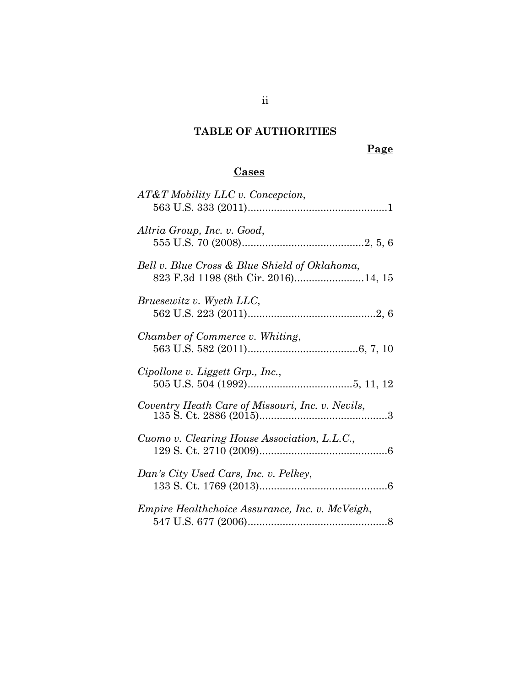## TABLE OF AUTHORITIES

## Page

## Cases

| AT&T Mobility LLC v. Concepcion,                 |
|--------------------------------------------------|
| Altria Group, Inc. v. Good,                      |
| Bell v. Blue Cross & Blue Shield of Oklahoma,    |
| Bruesewitz v. Wyeth LLC,                         |
| Chamber of Commerce v. Whiting,                  |
| Cipollone v. Liggett Grp., Inc.,                 |
| Coventry Heath Care of Missouri, Inc. v. Nevils, |
| Cuomo v. Clearing House Association, L.L.C.,     |
| Dan's City Used Cars, Inc. v. Pelkey,            |
| Empire Healthchoice Assurance, Inc. v. McVeigh,  |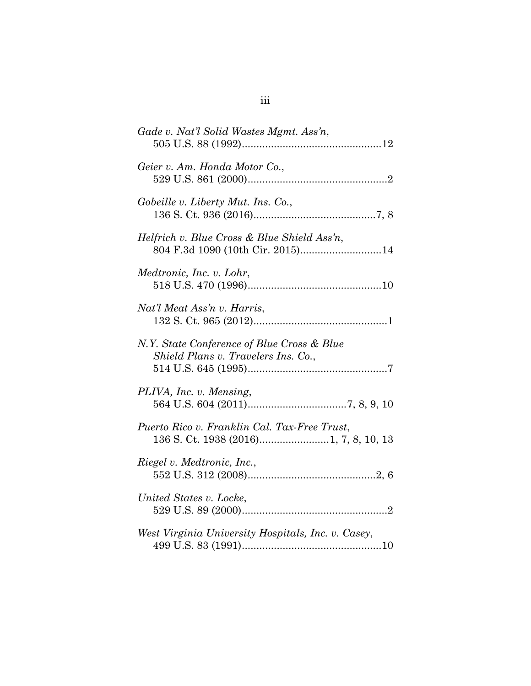| Gade v. Nat'l Solid Wastes Mgmt. Ass'n,                                           |
|-----------------------------------------------------------------------------------|
| Geier v. Am. Honda Motor Co.,                                                     |
| Gobeille v. Liberty Mut. Ins. Co.,                                                |
| Helfrich v. Blue Cross & Blue Shield Ass'n,<br>804 F.3d 1090 (10th Cir. 2015)14   |
| Medtronic, Inc. v. Lohr,                                                          |
| Nat'l Meat Ass'n v. Harris,                                                       |
| N.Y. State Conference of Blue Cross & Blue<br>Shield Plans v. Travelers Ins. Co., |
| PLIVA, Inc. v. Mensing,                                                           |
| Puerto Rico v. Franklin Cal. Tax-Free Trust,                                      |
| Riegel v. Medtronic, Inc.,                                                        |
| United States v. Locke,                                                           |
| West Virginia University Hospitals, Inc. v. Casey,                                |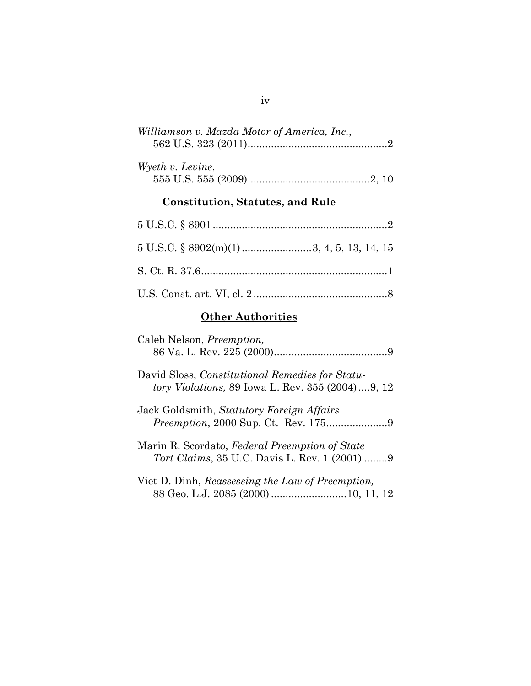| Williamson v. Mazda Motor of America, Inc.,                                                         |
|-----------------------------------------------------------------------------------------------------|
| Wyeth v. Levine,                                                                                    |
| <b>Constitution, Statutes, and Rule</b>                                                             |
|                                                                                                     |
|                                                                                                     |
|                                                                                                     |
|                                                                                                     |
| <b>Other Authorities</b>                                                                            |
| Caleb Nelson, <i>Preemption</i> ,                                                                   |
| David Sloss, Constitutional Remedies for Statu-<br>tory Violations, 89 Iowa L. Rev. 355 (2004)9, 12 |
| Jack Goldsmith, Statutory Foreign Affairs                                                           |
| Marin R. Scordato, Federal Preemption of State<br>Tort Claims, 35 U.C. Davis L. Rev. 1 (2001) 9     |
|                                                                                                     |

iv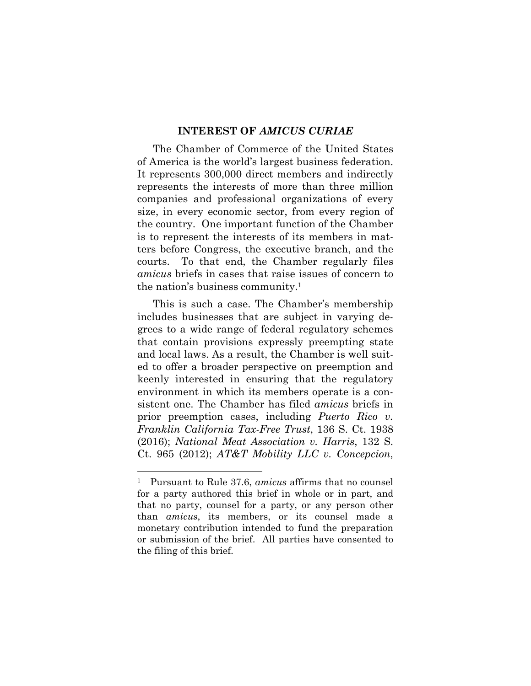#### INTEREST OF AMICUS CURIAE

The Chamber of Commerce of the United States of America is the world's largest business federation. It represents 300,000 direct members and indirectly represents the interests of more than three million companies and professional organizations of every size, in every economic sector, from every region of the country. One important function of the Chamber is to represent the interests of its members in matters before Congress, the executive branch, and the courts. To that end, the Chamber regularly files amicus briefs in cases that raise issues of concern to the nation's business community.<sup>1</sup>

This is such a case. The Chamber's membership includes businesses that are subject in varying degrees to a wide range of federal regulatory schemes that contain provisions expressly preempting state and local laws. As a result, the Chamber is well suited to offer a broader perspective on preemption and keenly interested in ensuring that the regulatory environment in which its members operate is a consistent one. The Chamber has filed amicus briefs in prior preemption cases, including Puerto Rico v. Franklin California Tax-Free Trust, 136 S. Ct. 1938 (2016); National Meat Association v. Harris, 132 S. Ct. 965 (2012); AT&T Mobility LLC v. Concepcion,

 $\overline{a}$ 

<sup>&</sup>lt;sup>1</sup> Pursuant to Rule 37.6, *amicus* affirms that no counsel for a party authored this brief in whole or in part, and that no party, counsel for a party, or any person other than amicus, its members, or its counsel made a monetary contribution intended to fund the preparation or submission of the brief. All parties have consented to the filing of this brief.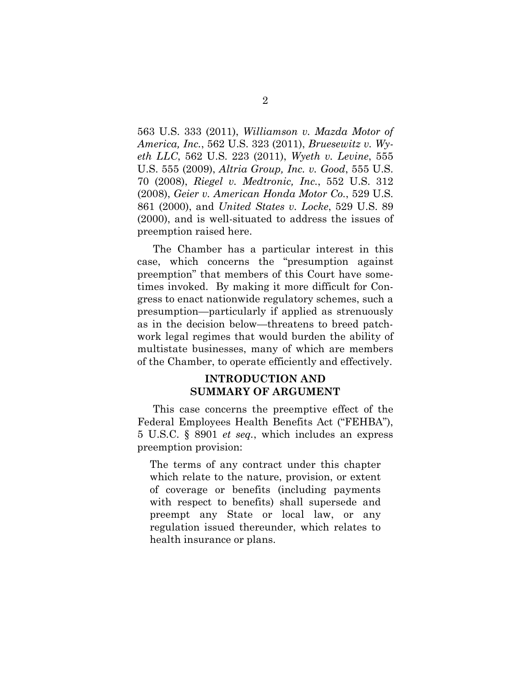563 U.S. 333 (2011), Williamson v. Mazda Motor of America, Inc., 562 U.S. 323 (2011), Bruesewitz v. Wyeth LLC, 562 U.S. 223 (2011), Wyeth v. Levine, 555 U.S. 555 (2009), Altria Group, Inc. v. Good, 555 U.S. 70 (2008), Riegel v. Medtronic, Inc., 552 U.S. 312 (2008), Geier v. American Honda Motor Co., 529 U.S. 861 (2000), and United States v. Locke, 529 U.S. 89 (2000), and is well-situated to address the issues of preemption raised here.

The Chamber has a particular interest in this case, which concerns the "presumption against preemption" that members of this Court have sometimes invoked. By making it more difficult for Congress to enact nationwide regulatory schemes, such a presumption—particularly if applied as strenuously as in the decision below—threatens to breed patchwork legal regimes that would burden the ability of multistate businesses, many of which are members of the Chamber, to operate efficiently and effectively.

### INTRODUCTION AND SUMMARY OF ARGUMENT

This case concerns the preemptive effect of the Federal Employees Health Benefits Act ("FEHBA"), 5 U.S.C. § 8901 et seq., which includes an express preemption provision:

The terms of any contract under this chapter which relate to the nature, provision, or extent of coverage or benefits (including payments with respect to benefits) shall supersede and preempt any State or local law, or any regulation issued thereunder, which relates to health insurance or plans.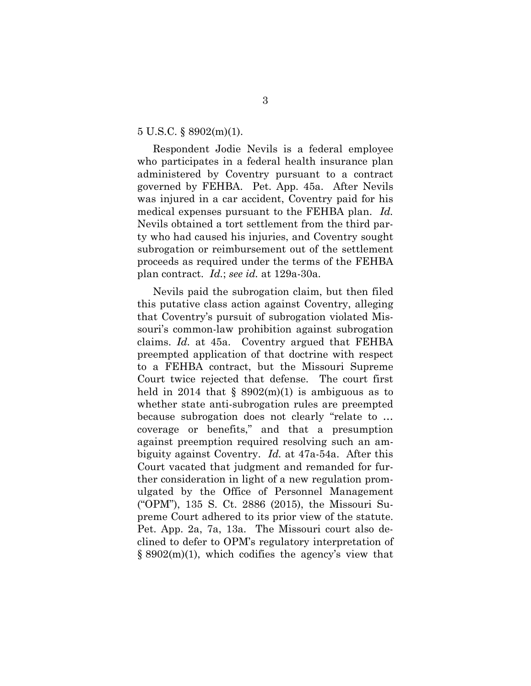#### 5 U.S.C. § 8902(m)(1).

Respondent Jodie Nevils is a federal employee who participates in a federal health insurance plan administered by Coventry pursuant to a contract governed by FEHBA. Pet. App. 45a. After Nevils was injured in a car accident, Coventry paid for his medical expenses pursuant to the FEHBA plan. Id. Nevils obtained a tort settlement from the third party who had caused his injuries, and Coventry sought subrogation or reimbursement out of the settlement proceeds as required under the terms of the FEHBA plan contract. Id.; see id. at 129a-30a.

Nevils paid the subrogation claim, but then filed this putative class action against Coventry, alleging that Coventry's pursuit of subrogation violated Missouri's common-law prohibition against subrogation claims. Id. at 45a. Coventry argued that FEHBA preempted application of that doctrine with respect to a FEHBA contract, but the Missouri Supreme Court twice rejected that defense. The court first held in 2014 that  $\S$  8902(m)(1) is ambiguous as to whether state anti-subrogation rules are preempted because subrogation does not clearly "relate to … coverage or benefits," and that a presumption against preemption required resolving such an ambiguity against Coventry. Id. at 47a-54a. After this Court vacated that judgment and remanded for further consideration in light of a new regulation promulgated by the Office of Personnel Management ("OPM"), 135 S. Ct. 2886 (2015), the Missouri Supreme Court adhered to its prior view of the statute. Pet. App. 2a, 7a, 13a. The Missouri court also declined to defer to OPM's regulatory interpretation of  $\S 8902(m)(1)$ , which codifies the agency's view that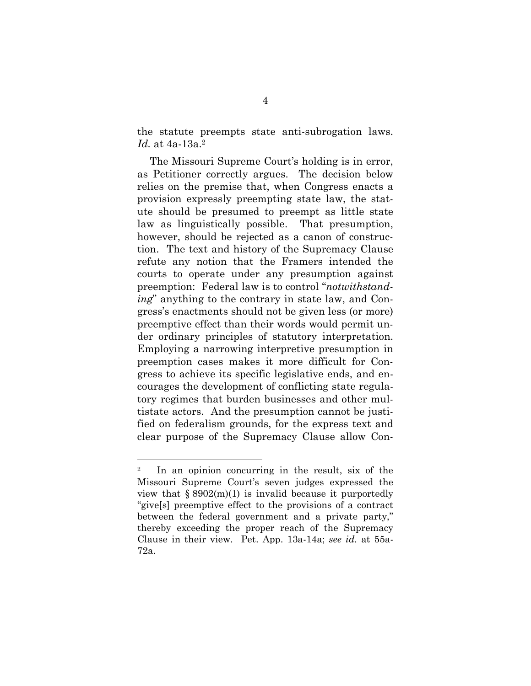the statute preempts state anti-subrogation laws. Id. at 4a-13a.<sup>2</sup>

The Missouri Supreme Court's holding is in error, as Petitioner correctly argues. The decision below relies on the premise that, when Congress enacts a provision expressly preempting state law, the statute should be presumed to preempt as little state law as linguistically possible. That presumption, however, should be rejected as a canon of construction. The text and history of the Supremacy Clause refute any notion that the Framers intended the courts to operate under any presumption against preemption: Federal law is to control "notwithstanding" anything to the contrary in state law, and Congress's enactments should not be given less (or more) preemptive effect than their words would permit under ordinary principles of statutory interpretation. Employing a narrowing interpretive presumption in preemption cases makes it more difficult for Congress to achieve its specific legislative ends, and encourages the development of conflicting state regulatory regimes that burden businesses and other multistate actors. And the presumption cannot be justified on federalism grounds, for the express text and clear purpose of the Supremacy Clause allow Con-

 $\overline{a}$ 

<sup>2</sup> In an opinion concurring in the result, six of the Missouri Supreme Court's seven judges expressed the view that  $\S 8902(m)(1)$  is invalid because it purportedly "give[s] preemptive effect to the provisions of a contract between the federal government and a private party," thereby exceeding the proper reach of the Supremacy Clause in their view. Pet. App. 13a-14a; see id. at 55a-72a.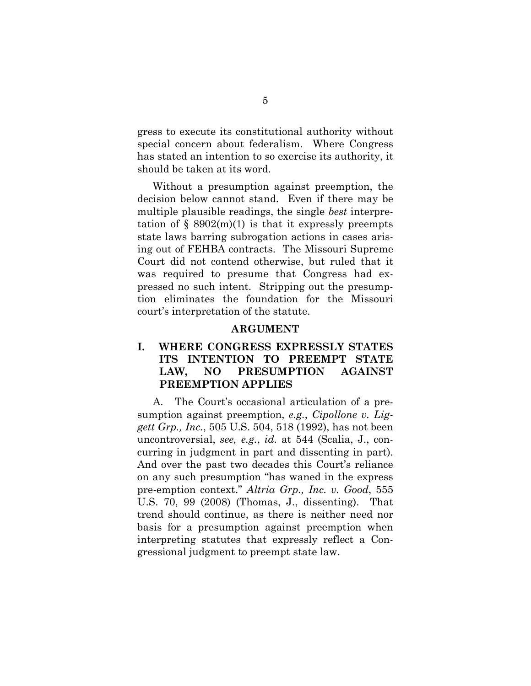gress to execute its constitutional authority without special concern about federalism. Where Congress has stated an intention to so exercise its authority, it should be taken at its word.

 Without a presumption against preemption, the decision below cannot stand. Even if there may be multiple plausible readings, the single *best* interpretation of  $\S$  8902(m)(1) is that it expressly preempts state laws barring subrogation actions in cases arising out of FEHBA contracts. The Missouri Supreme Court did not contend otherwise, but ruled that it was required to presume that Congress had expressed no such intent. Stripping out the presumption eliminates the foundation for the Missouri court's interpretation of the statute.

#### ARGUMENT

### I. WHERE CONGRESS EXPRESSLY STATES ITS INTENTION TO PREEMPT STATE LAW, NO PRESUMPTION AGAINST PREEMPTION APPLIES

A. The Court's occasional articulation of a presumption against preemption, e.g., Cipollone v. Liggett Grp., Inc., 505 U.S. 504, 518 (1992), has not been uncontroversial, see, e.g., id. at 544 (Scalia, J., concurring in judgment in part and dissenting in part). And over the past two decades this Court's reliance on any such presumption "has waned in the express pre-emption context." Altria Grp., Inc. v. Good, 555 U.S. 70, 99 (2008) (Thomas, J., dissenting). That trend should continue, as there is neither need nor basis for a presumption against preemption when interpreting statutes that expressly reflect a Congressional judgment to preempt state law.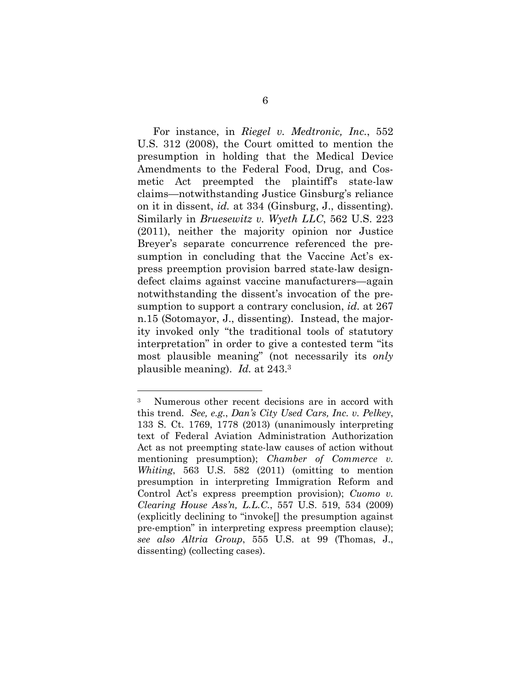For instance, in Riegel v. Medtronic, Inc., 552 U.S. 312 (2008), the Court omitted to mention the presumption in holding that the Medical Device Amendments to the Federal Food, Drug, and Cosmetic Act preempted the plaintiff's state-law claims—notwithstanding Justice Ginsburg's reliance on it in dissent, id. at 334 (Ginsburg, J., dissenting). Similarly in *Bruesewitz v. Wyeth LLC*, 562 U.S. 223 (2011), neither the majority opinion nor Justice Breyer's separate concurrence referenced the presumption in concluding that the Vaccine Act's express preemption provision barred state-law designdefect claims against vaccine manufacturers—again notwithstanding the dissent's invocation of the presumption to support a contrary conclusion, *id.* at 267 n.15 (Sotomayor, J., dissenting). Instead, the majority invoked only "the traditional tools of statutory interpretation" in order to give a contested term "its most plausible meaning" (not necessarily its only plausible meaning). Id. at 243.<sup>3</sup>

l

<sup>3</sup> Numerous other recent decisions are in accord with this trend. See, e.g., Dan's City Used Cars, Inc. v. Pelkey, 133 S. Ct. 1769, 1778 (2013) (unanimously interpreting text of Federal Aviation Administration Authorization Act as not preempting state-law causes of action without mentioning presumption); *Chamber of Commerce v.* Whiting, 563 U.S. 582 (2011) (omitting to mention presumption in interpreting Immigration Reform and Control Act's express preemption provision); Cuomo v. Clearing House Ass'n, L.L.C., 557 U.S. 519, 534 (2009) (explicitly declining to "invoke[] the presumption against pre-emption" in interpreting express preemption clause); see also Altria Group, 555 U.S. at 99 (Thomas, J., dissenting) (collecting cases).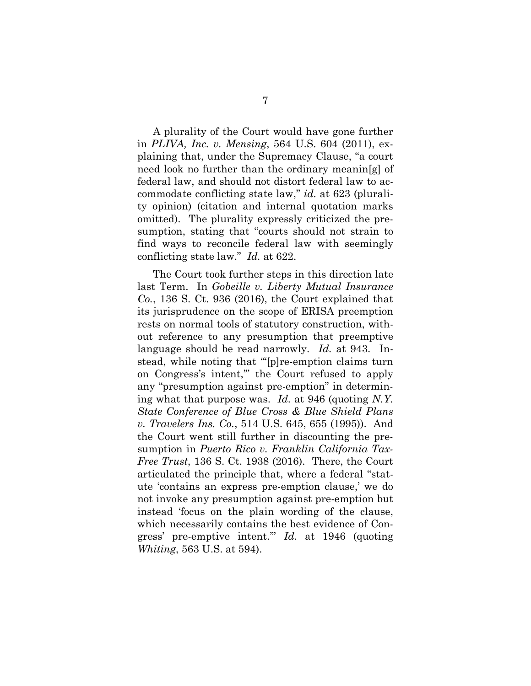A plurality of the Court would have gone further in PLIVA, Inc. v. Mensing, 564 U.S. 604 (2011), explaining that, under the Supremacy Clause, "a court need look no further than the ordinary meanin[g] of federal law, and should not distort federal law to accommodate conflicting state law," id. at 623 (plurality opinion) (citation and internal quotation marks omitted). The plurality expressly criticized the presumption, stating that "courts should not strain to find ways to reconcile federal law with seemingly conflicting state law." Id. at 622.

The Court took further steps in this direction late last Term. In Gobeille v. Liberty Mutual Insurance Co., 136 S. Ct. 936 (2016), the Court explained that its jurisprudence on the scope of ERISA preemption rests on normal tools of statutory construction, without reference to any presumption that preemptive language should be read narrowly. Id. at 943. Instead, while noting that "'[p]re-emption claims turn on Congress's intent,'" the Court refused to apply any "presumption against pre-emption" in determining what that purpose was. Id. at 946 (quoting N.Y. State Conference of Blue Cross & Blue Shield Plans v. Travelers Ins. Co., 514 U.S. 645, 655 (1995)). And the Court went still further in discounting the presumption in Puerto Rico v. Franklin California Tax-Free Trust, 136 S. Ct. 1938 (2016). There, the Court articulated the principle that, where a federal "statute 'contains an express pre-emption clause,' we do not invoke any presumption against pre-emption but instead 'focus on the plain wording of the clause, which necessarily contains the best evidence of Congress' pre-emptive intent.'" Id. at 1946 (quoting Whiting, 563 U.S. at 594).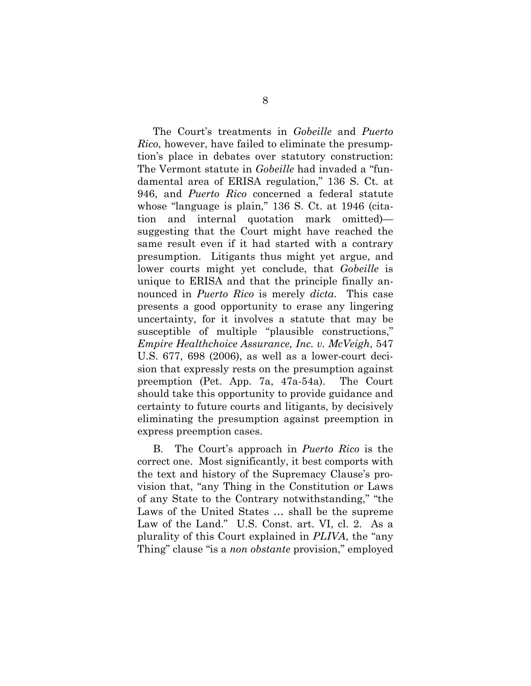The Court's treatments in Gobeille and Puerto Rico, however, have failed to eliminate the presumption's place in debates over statutory construction: The Vermont statute in *Gobeille* had invaded a "fundamental area of ERISA regulation," 136 S. Ct. at 946, and Puerto Rico concerned a federal statute whose "language is plain," 136 S. Ct. at 1946 (citation and internal quotation mark omitted) suggesting that the Court might have reached the same result even if it had started with a contrary presumption. Litigants thus might yet argue, and lower courts might yet conclude, that *Gobeille* is unique to ERISA and that the principle finally announced in *Puerto Rico* is merely *dicta*. This case presents a good opportunity to erase any lingering uncertainty, for it involves a statute that may be susceptible of multiple "plausible constructions," Empire Healthchoice Assurance, Inc. v. McVeigh, 547 U.S. 677, 698 (2006), as well as a lower-court decision that expressly rests on the presumption against preemption (Pet. App. 7a, 47a-54a). The Court should take this opportunity to provide guidance and certainty to future courts and litigants, by decisively eliminating the presumption against preemption in express preemption cases.

B. The Court's approach in Puerto Rico is the correct one. Most significantly, it best comports with the text and history of the Supremacy Clause's provision that, "any Thing in the Constitution or Laws of any State to the Contrary notwithstanding," "the Laws of the United States … shall be the supreme Law of the Land." U.S. Const. art. VI, cl. 2. As a plurality of this Court explained in PLIVA, the "any Thing" clause "is a *non obstante* provision," employed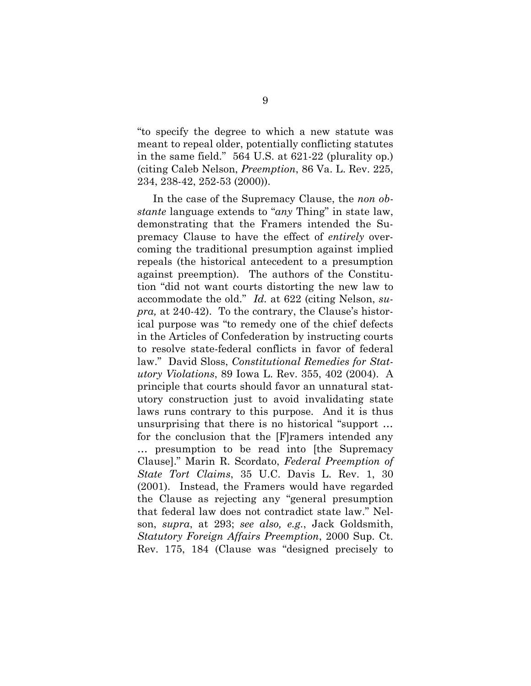"to specify the degree to which a new statute was meant to repeal older, potentially conflicting statutes in the same field." 564 U.S. at 621-22 (plurality op.) (citing Caleb Nelson, Preemption, 86 Va. L. Rev. 225, 234, 238-42, 252-53 (2000)).

In the case of the Supremacy Clause, the non obstante language extends to "any Thing" in state law, demonstrating that the Framers intended the Supremacy Clause to have the effect of entirely overcoming the traditional presumption against implied repeals (the historical antecedent to a presumption against preemption). The authors of the Constitution "did not want courts distorting the new law to accommodate the old." Id. at 622 (citing Nelson, supra, at 240-42). To the contrary, the Clause's historical purpose was "to remedy one of the chief defects in the Articles of Confederation by instructing courts to resolve state-federal conflicts in favor of federal law." David Sloss, Constitutional Remedies for Statutory Violations, 89 Iowa L. Rev. 355, 402 (2004). A principle that courts should favor an unnatural statutory construction just to avoid invalidating state laws runs contrary to this purpose. And it is thus unsurprising that there is no historical "support … for the conclusion that the [F]ramers intended any … presumption to be read into [the Supremacy Clause]." Marin R. Scordato, Federal Preemption of State Tort Claims, 35 U.C. Davis L. Rev. 1, 30 (2001). Instead, the Framers would have regarded the Clause as rejecting any "general presumption that federal law does not contradict state law." Nelson, supra, at 293; see also, e.g., Jack Goldsmith, Statutory Foreign Affairs Preemption, 2000 Sup. Ct. Rev. 175, 184 (Clause was "designed precisely to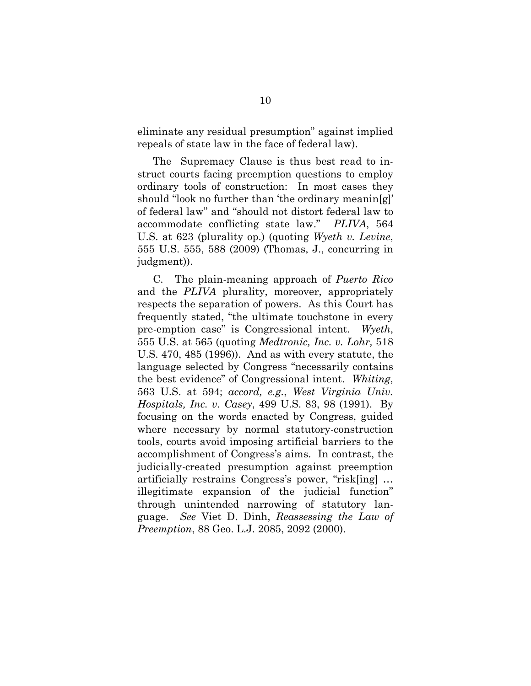eliminate any residual presumption" against implied repeals of state law in the face of federal law).

The Supremacy Clause is thus best read to instruct courts facing preemption questions to employ ordinary tools of construction: In most cases they should "look no further than 'the ordinary meanin[g]' of federal law" and "should not distort federal law to accommodate conflicting state law." PLIVA, 564 U.S. at 623 (plurality op.) (quoting Wyeth v. Levine, 555 U.S. 555, 588 (2009) (Thomas, J., concurring in judgment)).

C. The plain-meaning approach of Puerto Rico and the PLIVA plurality, moreover, appropriately respects the separation of powers. As this Court has frequently stated, "the ultimate touchstone in every pre-emption case" is Congressional intent. Wyeth, 555 U.S. at 565 (quoting Medtronic, Inc. v. Lohr, 518 U.S. 470, 485 (1996)). And as with every statute, the language selected by Congress "necessarily contains the best evidence" of Congressional intent. Whiting, 563 U.S. at 594; accord, e.g., West Virginia Univ. Hospitals, Inc. v. Casey, 499 U.S. 83, 98 (1991). By focusing on the words enacted by Congress, guided where necessary by normal statutory-construction tools, courts avoid imposing artificial barriers to the accomplishment of Congress's aims. In contrast, the judicially-created presumption against preemption artificially restrains Congress's power, "risk[ing] … illegitimate expansion of the judicial function" through unintended narrowing of statutory language. See Viet D. Dinh, Reassessing the Law of Preemption, 88 Geo. L.J. 2085, 2092 (2000).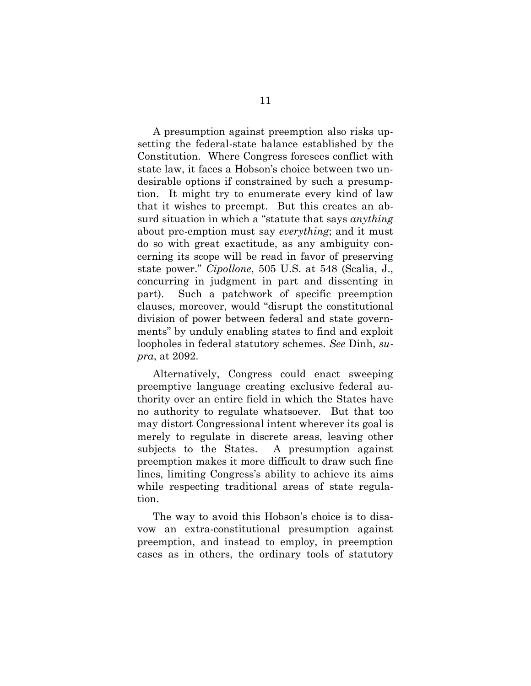A presumption against preemption also risks upsetting the federal-state balance established by the Constitution. Where Congress foresees conflict with state law, it faces a Hobson's choice between two undesirable options if constrained by such a presumption. It might try to enumerate every kind of law that it wishes to preempt. But this creates an absurd situation in which a "statute that says *anything* about pre-emption must say *everything*; and it must do so with great exactitude, as any ambiguity concerning its scope will be read in favor of preserving state power." Cipollone, 505 U.S. at 548 (Scalia, J., concurring in judgment in part and dissenting in part). Such a patchwork of specific preemption clauses, moreover, would "disrupt the constitutional division of power between federal and state governments" by unduly enabling states to find and exploit loopholes in federal statutory schemes. See Dinh, supra, at 2092.

Alternatively, Congress could enact sweeping preemptive language creating exclusive federal authority over an entire field in which the States have no authority to regulate whatsoever. But that too may distort Congressional intent wherever its goal is merely to regulate in discrete areas, leaving other subjects to the States. A presumption against preemption makes it more difficult to draw such fine lines, limiting Congress's ability to achieve its aims while respecting traditional areas of state regulation.

The way to avoid this Hobson's choice is to disavow an extra-constitutional presumption against preemption, and instead to employ, in preemption cases as in others, the ordinary tools of statutory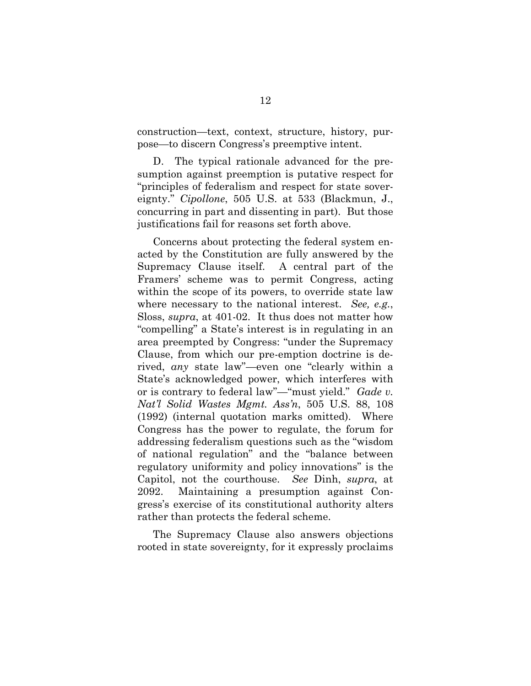construction—text, context, structure, history, purpose—to discern Congress's preemptive intent.

D. The typical rationale advanced for the presumption against preemption is putative respect for "principles of federalism and respect for state sovereignty." Cipollone, 505 U.S. at 533 (Blackmun, J., concurring in part and dissenting in part). But those justifications fail for reasons set forth above.

Concerns about protecting the federal system enacted by the Constitution are fully answered by the Supremacy Clause itself. A central part of the Framers' scheme was to permit Congress, acting within the scope of its powers, to override state law where necessary to the national interest. See, e.g., Sloss, supra, at 401-02. It thus does not matter how "compelling" a State's interest is in regulating in an area preempted by Congress: "under the Supremacy Clause, from which our pre-emption doctrine is derived, any state law"—even one "clearly within a State's acknowledged power, which interferes with or is contrary to federal law"—"must yield." Gade v. Nat'l Solid Wastes Mgmt. Ass'n, 505 U.S. 88, 108 (1992) (internal quotation marks omitted). Where Congress has the power to regulate, the forum for addressing federalism questions such as the "wisdom of national regulation" and the "balance between regulatory uniformity and policy innovations" is the Capitol, not the courthouse. See Dinh, supra, at 2092. Maintaining a presumption against Congress's exercise of its constitutional authority alters rather than protects the federal scheme.

The Supremacy Clause also answers objections rooted in state sovereignty, for it expressly proclaims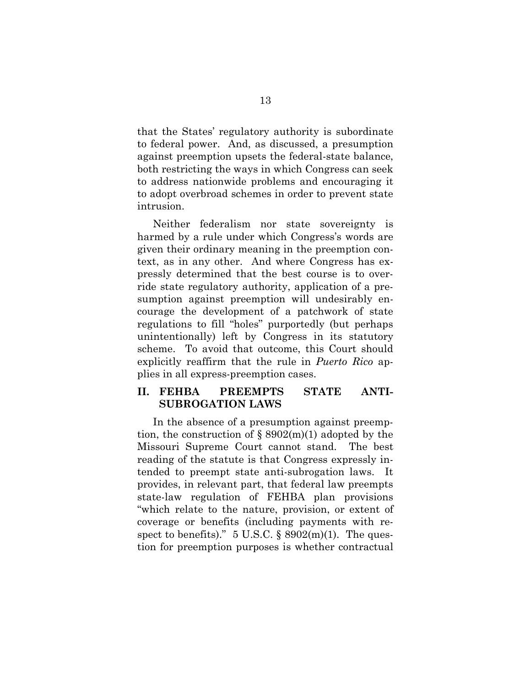that the States' regulatory authority is subordinate to federal power. And, as discussed, a presumption against preemption upsets the federal-state balance, both restricting the ways in which Congress can seek to address nationwide problems and encouraging it to adopt overbroad schemes in order to prevent state intrusion.

Neither federalism nor state sovereignty is harmed by a rule under which Congress's words are given their ordinary meaning in the preemption context, as in any other. And where Congress has expressly determined that the best course is to override state regulatory authority, application of a presumption against preemption will undesirably encourage the development of a patchwork of state regulations to fill "holes" purportedly (but perhaps unintentionally) left by Congress in its statutory scheme. To avoid that outcome, this Court should explicitly reaffirm that the rule in *Puerto Rico* applies in all express-preemption cases.

## II. FEHBA PREEMPTS STATE ANTI-SUBROGATION LAWS

In the absence of a presumption against preemption, the construction of  $\S 8902(m)(1)$  adopted by the Missouri Supreme Court cannot stand. The best reading of the statute is that Congress expressly intended to preempt state anti-subrogation laws. It provides, in relevant part, that federal law preempts state-law regulation of FEHBA plan provisions "which relate to the nature, provision, or extent of coverage or benefits (including payments with respect to benefits)."  $5 \text{ U.S.C.}$  §  $8902 \text{(m)}(1)$ . The question for preemption purposes is whether contractual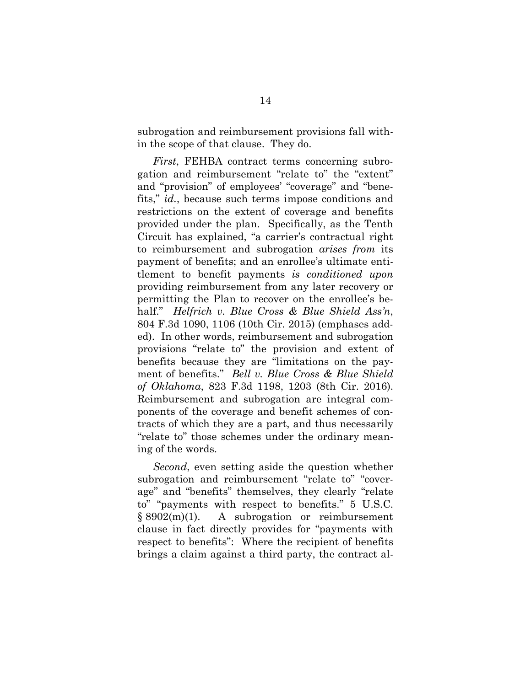subrogation and reimbursement provisions fall within the scope of that clause. They do.

First, FEHBA contract terms concerning subrogation and reimbursement "relate to" the "extent" and "provision" of employees' "coverage" and "benefits," id., because such terms impose conditions and restrictions on the extent of coverage and benefits provided under the plan. Specifically, as the Tenth Circuit has explained, "a carrier's contractual right to reimbursement and subrogation arises from its payment of benefits; and an enrollee's ultimate entitlement to benefit payments is conditioned upon providing reimbursement from any later recovery or permitting the Plan to recover on the enrollee's behalf." Helfrich v. Blue Cross & Blue Shield Ass'n, 804 F.3d 1090, 1106 (10th Cir. 2015) (emphases added). In other words, reimbursement and subrogation provisions "relate to" the provision and extent of benefits because they are "limitations on the payment of benefits." Bell v. Blue Cross & Blue Shield of Oklahoma, 823 F.3d 1198, 1203 (8th Cir. 2016). Reimbursement and subrogation are integral components of the coverage and benefit schemes of contracts of which they are a part, and thus necessarily "relate to" those schemes under the ordinary meaning of the words.

Second, even setting aside the question whether subrogation and reimbursement "relate to" "coverage" and "benefits" themselves, they clearly "relate to" "payments with respect to benefits." 5 U.S.C. § 8902(m)(1). A subrogation or reimbursement clause in fact directly provides for "payments with respect to benefits": Where the recipient of benefits brings a claim against a third party, the contract al-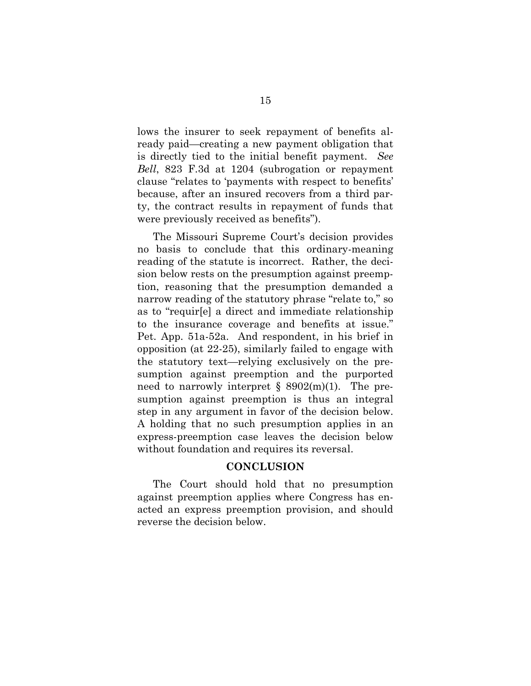lows the insurer to seek repayment of benefits already paid—creating a new payment obligation that is directly tied to the initial benefit payment. See Bell, 823 F.3d at 1204 (subrogation or repayment clause "relates to 'payments with respect to benefits' because, after an insured recovers from a third party, the contract results in repayment of funds that were previously received as benefits").

The Missouri Supreme Court's decision provides no basis to conclude that this ordinary-meaning reading of the statute is incorrect. Rather, the decision below rests on the presumption against preemption, reasoning that the presumption demanded a narrow reading of the statutory phrase "relate to," so as to "requir[e] a direct and immediate relationship to the insurance coverage and benefits at issue." Pet. App. 51a-52a. And respondent, in his brief in opposition (at 22-25), similarly failed to engage with the statutory text—relying exclusively on the presumption against preemption and the purported need to narrowly interpret  $\S$  8902(m)(1). The presumption against preemption is thus an integral step in any argument in favor of the decision below. A holding that no such presumption applies in an express-preemption case leaves the decision below without foundation and requires its reversal.

#### **CONCLUSION**

The Court should hold that no presumption against preemption applies where Congress has enacted an express preemption provision, and should reverse the decision below.